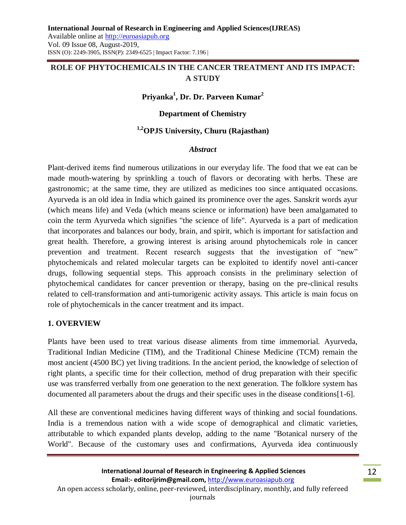# **ROLE OF PHYTOCHEMICALS IN THE CANCER TREATMENT AND ITS IMPACT: A STUDY**

## **Priyanka<sup>1</sup> , Dr. Dr. Parveen Kumar<sup>2</sup>**

#### **Department of Chemistry**

## **1,2OPJS University, Churu (Rajasthan)**

#### *Abstract*

Plant-derived items find numerous utilizations in our everyday life. The food that we eat can be made mouth-watering by sprinkling a touch of flavors or decorating with herbs. These are gastronomic; at the same time, they are utilized as medicines too since antiquated occasions. Ayurveda is an old idea in India which gained its prominence over the ages. Sanskrit words ayur (which means life) and Veda (which means science or information) have been amalgamated to coin the term Ayurveda which signifies "the science of life". Ayurveda is a part of medication that incorporates and balances our body, brain, and spirit, which is important for satisfaction and great health. Therefore, a growing interest is arising around phytochemicals role in cancer prevention and treatment. Recent research suggests that the investigation of "new" phytochemicals and related molecular targets can be exploited to identify novel anti-cancer drugs, following sequential steps. This approach consists in the preliminary selection of phytochemical candidates for cancer prevention or therapy, basing on the pre-clinical results related to cell-transformation and anti-tumorigenic activity assays. This article is main focus on role of phytochemicals in the cancer treatment and its impact.

#### **1. OVERVIEW**

Plants have been used to treat various disease aliments from time immemorial. Ayurveda, Traditional Indian Medicine (TIM), and the Traditional Chinese Medicine (TCM) remain the most ancient (4500 BC) yet living traditions. In the ancient period, the knowledge of selection of right plants, a specific time for their collection, method of drug preparation with their specific use was transferred verbally from one generation to the next generation. The folklore system has documented all parameters about the drugs and their specific uses in the disease conditions[1-6].

All these are conventional medicines having different ways of thinking and social foundations. India is a tremendous nation with a wide scope of demographical and climatic varieties, attributable to which expanded plants develop, adding to the name "Botanical nursery of the World". Because of the customary uses and confirmations, Ayurveda idea continuously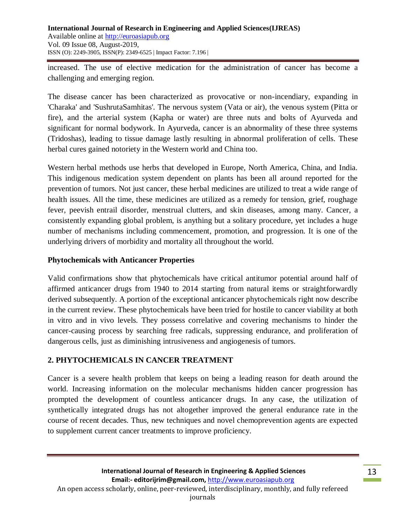increased. The use of elective medication for the administration of cancer has become a challenging and emerging region.

The disease cancer has been characterized as provocative or non-incendiary, expanding in 'Charaka' and 'SushrutaSamhitas'. The nervous system (Vata or air), the venous system (Pitta or fire), and the arterial system (Kapha or water) are three nuts and bolts of Ayurveda and significant for normal bodywork. In Ayurveda, cancer is an abnormality of these three systems (Tridoshas), leading to tissue damage lastly resulting in abnormal proliferation of cells. These herbal cures gained notoriety in the Western world and China too.

Western herbal methods use herbs that developed in Europe, North America, China, and India. This indigenous medication system dependent on plants has been all around reported for the prevention of tumors. Not just cancer, these herbal medicines are utilized to treat a wide range of health issues. All the time, these medicines are utilized as a remedy for tension, grief, roughage fever, peevish entrail disorder, menstrual clutters, and skin diseases, among many. Cancer, a consistently expanding global problem, is anything but a solitary procedure, yet includes a huge number of mechanisms including commencement, promotion, and progression. It is one of the underlying drivers of morbidity and mortality all throughout the world.

## **Phytochemicals with Anticancer Properties**

Valid confirmations show that phytochemicals have critical antitumor potential around half of affirmed anticancer drugs from 1940 to 2014 starting from natural items or straightforwardly derived subsequently. A portion of the exceptional anticancer phytochemicals right now describe in the current review. These phytochemicals have been tried for hostile to cancer viability at both in vitro and in vivo levels. They possess correlative and covering mechanisms to hinder the cancer-causing process by searching free radicals, suppressing endurance, and proliferation of dangerous cells, just as diminishing intrusiveness and angiogenesis of tumors.

## **2. PHYTOCHEMICALS IN CANCER TREATMENT**

Cancer is a severe health problem that keeps on being a leading reason for death around the world. Increasing information on the molecular mechanisms hidden cancer progression has prompted the development of countless anticancer drugs. In any case, the utilization of synthetically integrated drugs has not altogether improved the general endurance rate in the course of recent decades. Thus, new techniques and novel chemoprevention agents are expected to supplement current cancer treatments to improve proficiency.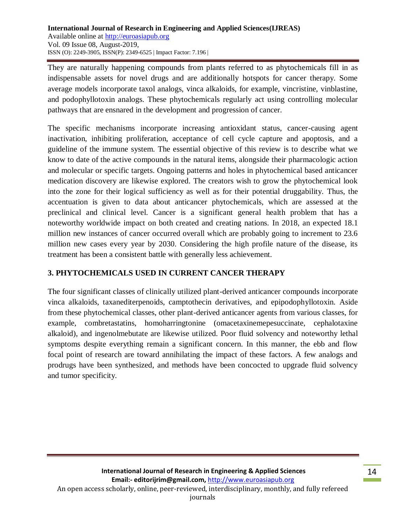They are naturally happening compounds from plants referred to as phytochemicals fill in as indispensable assets for novel drugs and are additionally hotspots for cancer therapy. Some average models incorporate taxol analogs, vinca alkaloids, for example, vincristine, vinblastine, and podophyllotoxin analogs. These phytochemicals regularly act using controlling molecular pathways that are ensnared in the development and progression of cancer.

The specific mechanisms incorporate increasing antioxidant status, cancer-causing agent inactivation, inhibiting proliferation, acceptance of cell cycle capture and apoptosis, and a guideline of the immune system. The essential objective of this review is to describe what we know to date of the active compounds in the natural items, alongside their pharmacologic action and molecular or specific targets. Ongoing patterns and holes in phytochemical based anticancer medication discovery are likewise explored. The creators wish to grow the phytochemical look into the zone for their logical sufficiency as well as for their potential druggability. Thus, the accentuation is given to data about anticancer phytochemicals, which are assessed at the preclinical and clinical level. Cancer is a significant general health problem that has a noteworthy worldwide impact on both created and creating nations. In 2018, an expected 18.1 million new instances of cancer occurred overall which are probably going to increment to 23.6 million new cases every year by 2030. Considering the high profile nature of the disease, its treatment has been a consistent battle with generally less achievement.

# **3. PHYTOCHEMICALS USED IN CURRENT CANCER THERAPY**

The four significant classes of clinically utilized plant-derived anticancer compounds incorporate vinca alkaloids, taxanediterpenoids, camptothecin derivatives, and epipodophyllotoxin. Aside from these phytochemical classes, other plant-derived anticancer agents from various classes, for example, combretastatins, homoharringtonine (omacetaxinemepesuccinate, cephalotaxine alkaloid), and ingenolmebutate are likewise utilized. Poor fluid solvency and noteworthy lethal symptoms despite everything remain a significant concern. In this manner, the ebb and flow focal point of research are toward annihilating the impact of these factors. A few analogs and prodrugs have been synthesized, and methods have been concocted to upgrade fluid solvency and tumor specificity.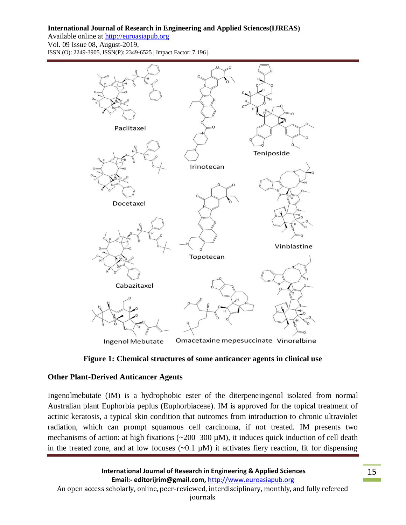#### **International Journal of Research in Engineering and Applied Sciences(IJREAS)**

Available online at http://euroasiapub.org Vol. 09 Issue 08, August-2019, ISSN (O): 2249-3905, ISSN(P): 2349-6525 | Impact Factor: 7.196 |





## **Other Plant-Derived Anticancer Agents**

Ingenolmebutate (IM) is a hydrophobic ester of the diterpeneingenol isolated from normal Australian plant Euphorbia peplus (Euphorbiaceae). IM is approved for the topical treatment of actinic keratosis, a typical skin condition that outcomes from introduction to chronic ultraviolet radiation, which can prompt squamous cell carcinoma, if not treated. IM presents two mechanisms of action: at high fixations ( $\sim$ 200–300  $\mu$ M), it induces quick induction of cell death in the treated zone, and at low focuses  $(\sim 0.1 \mu M)$  it activates fiery reaction, fit for dispensing

**International Journal of Research in Engineering & Applied Sciences Email:- editorijrim@gmail.com,** http://www.euroasiapub.org An open access scholarly, online, peer-reviewed, interdisciplinary, monthly, and fully refereed journals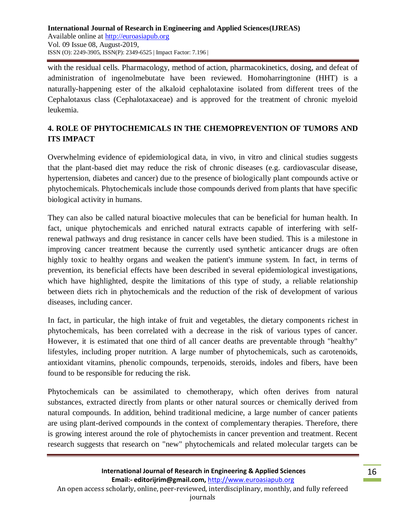with the residual cells. Pharmacology, method of action, pharmacokinetics, dosing, and defeat of administration of ingenolmebutate have been reviewed. Homoharringtonine (HHT) is a naturally-happening ester of the alkaloid cephalotaxine isolated from different trees of the Cephalotaxus class (Cephalotaxaceae) and is approved for the treatment of chronic myeloid leukemia.

# **4. ROLE OF PHYTOCHEMICALS IN THE CHEMOPREVENTION OF TUMORS AND ITS IMPACT**

Overwhelming evidence of epidemiological data, in vivo, in vitro and clinical studies suggests that the plant-based diet may reduce the risk of chronic diseases (e.g. cardiovascular disease, hypertension, diabetes and cancer) due to the presence of biologically plant compounds active or phytochemicals. Phytochemicals include those compounds derived from plants that have specific biological activity in humans.

They can also be called natural bioactive molecules that can be beneficial for human health. In fact, unique phytochemicals and enriched natural extracts capable of interfering with selfrenewal pathways and drug resistance in cancer cells have been studied. This is a milestone in improving cancer treatment because the currently used synthetic anticancer drugs are often highly toxic to healthy organs and weaken the patient's immune system. In fact, in terms of prevention, its beneficial effects have been described in several epidemiological investigations, which have highlighted, despite the limitations of this type of study, a reliable relationship between diets rich in phytochemicals and the reduction of the risk of development of various diseases, including cancer.

In fact, in particular, the high intake of fruit and vegetables, the dietary components richest in phytochemicals, has been correlated with a decrease in the risk of various types of cancer. However, it is estimated that one third of all cancer deaths are preventable through "healthy" lifestyles, including proper nutrition. A large number of phytochemicals, such as carotenoids, antioxidant vitamins, phenolic compounds, terpenoids, steroids, indoles and fibers, have been found to be responsible for reducing the risk.

Phytochemicals can be assimilated to chemotherapy, which often derives from natural substances, extracted directly from plants or other natural sources or chemically derived from natural compounds. In addition, behind traditional medicine, a large number of cancer patients are using plant-derived compounds in the context of complementary therapies. Therefore, there is growing interest around the role of phytochemists in cancer prevention and treatment. Recent research suggests that research on "new" phytochemicals and related molecular targets can be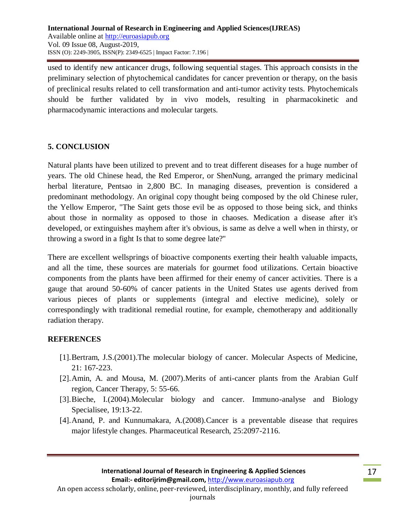used to identify new anticancer drugs, following sequential stages. This approach consists in the preliminary selection of phytochemical candidates for cancer prevention or therapy, on the basis of preclinical results related to cell transformation and anti-tumor activity tests. Phytochemicals should be further validated by in vivo models, resulting in pharmacokinetic and pharmacodynamic interactions and molecular targets.

## **5. CONCLUSION**

Natural plants have been utilized to prevent and to treat different diseases for a huge number of years. The old Chinese head, the Red Emperor, or ShenNung, arranged the primary medicinal herbal literature, Pentsao in 2,800 BC. In managing diseases, prevention is considered a predominant methodology. An original copy thought being composed by the old Chinese ruler, the Yellow Emperor, "The Saint gets those evil be as opposed to those being sick, and thinks about those in normality as opposed to those in chaoses. Medication a disease after it's developed, or extinguishes mayhem after it's obvious, is same as delve a well when in thirsty, or throwing a sword in a fight Is that to some degree late?"

There are excellent wellsprings of bioactive components exerting their health valuable impacts, and all the time, these sources are materials for gourmet food utilizations. Certain bioactive components from the plants have been affirmed for their enemy of cancer activities. There is a gauge that around 50-60% of cancer patients in the United States use agents derived from various pieces of plants or supplements (integral and elective medicine), solely or correspondingly with traditional remedial routine, for example, chemotherapy and additionally radiation therapy.

## **REFERENCES**

- [1].Bertram, J.S.(2001).The molecular biology of cancer. Molecular Aspects of Medicine, 21: 167-223.
- [2].Amin, A. and Mousa, M. (2007).Merits of anti-cancer plants from the Arabian Gulf region, Cancer Therapy, 5: 55-66.
- [3].Bieche, I.(2004).Molecular biology and cancer. Immuno-analyse and Biology Specialisee, 19:13-22.
- [4].Anand, P. and Kunnumakara, A.(2008).Cancer is a preventable disease that requires major lifestyle changes. Pharmaceutical Research, 25:2097-2116.